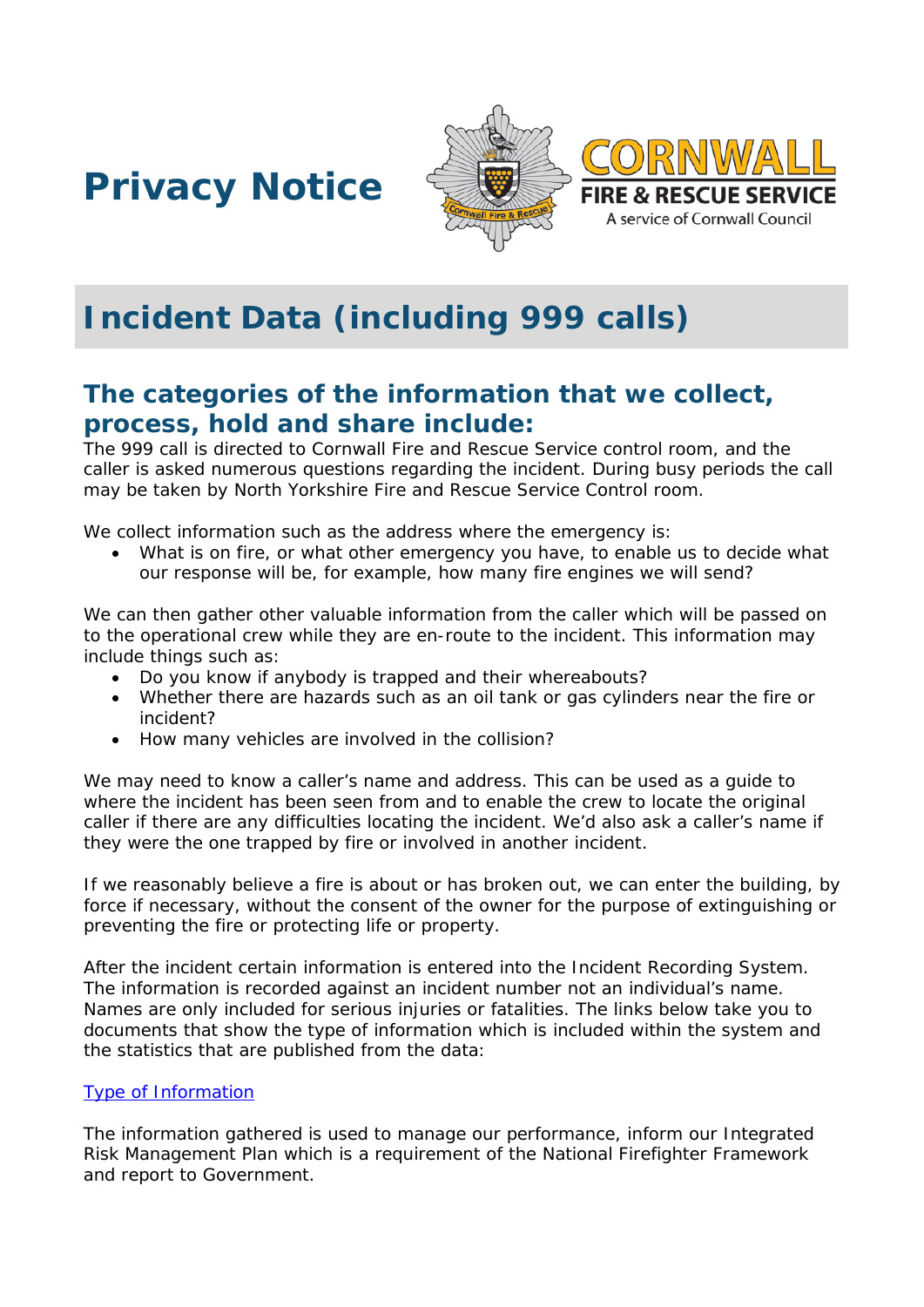





# **Incident Data (including 999 calls)**

# **The categories of the information that we collect, process, hold and share include:**

The 999 call is directed to Cornwall Fire and Rescue Service control room, and the caller is asked numerous questions regarding the incident. During busy periods the call may be taken by North Yorkshire Fire and Rescue Service Control room.

We collect information such as the address where the emergency is:

What is on fire, or what other emergency you have, to enable us to decide what our response will be, for example, how many fire engines we will send?

We can then gather other valuable information from the caller which will be passed on to the operational crew while they are en-route to the incident. This information may include things such as:

- Do you know if anybody is trapped and their whereabouts?
- Whether there are hazards such as an oil tank or gas cylinders near the fire or incident?
- How many vehicles are involved in the collision?

We may need to know a caller's name and address. This can be used as a guide to where the incident has been seen from and to enable the crew to locate the original caller if there are any difficulties locating the incident. We'd also ask a caller's name if they were the one trapped by fire or involved in another incident.

If we reasonably believe a fire is about or has broken out, we can enter the building, by force if necessary, without the consent of the owner for the purpose of extinguishing or preventing the fire or protecting life or property.

After the incident certain information is entered into the Incident Recording System. The information is recorded against an incident number not an individual's name. Names are only included for serious injuries or fatalities. The links below take you to documents that show the type of information which is included within the system and the statistics that are published from the data:

#### [Type of Information](https://www.gov.uk/government/publications/incident-recording-system-for-fire-and-rescue-authorities)

The information gathered is used to manage our performance, inform our Integrated Risk Management Plan which is a requirement of the National Firefighter Framework and report to Government.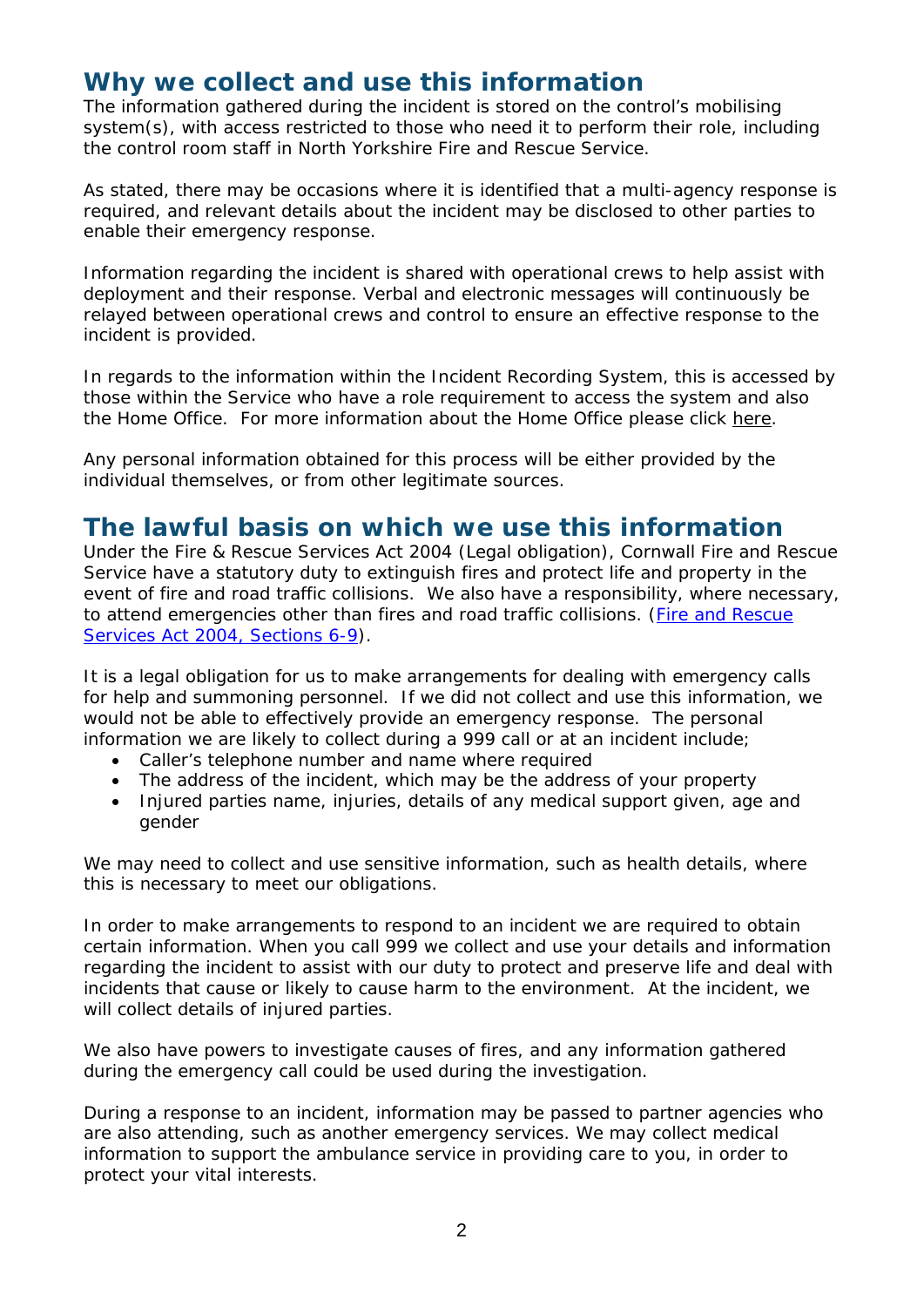# **Why we collect and use this information**

The information gathered during the incident is stored on the control's mobilising system(s), with access restricted to those who need it to perform their role, including the control room staff in North Yorkshire Fire and Rescue Service.

As stated, there may be occasions where it is identified that a multi-agency response is required, and relevant details about the incident may be disclosed to other parties to enable their emergency response.

Information regarding the incident is shared with operational crews to help assist with deployment and their response. Verbal and electronic messages will continuously be relayed between operational crews and control to ensure an effective response to the incident is provided.

In regards to the information within the Incident Recording System, this is accessed by those within the Service who have a role requirement to access the system and also the Home Office. For more information about the Home Office please click [here.](https://assets.publishing.service.gov.uk/government/uploads/system/uploads/attachment_data/file/645263/publishing-incident-recording-system-fire-and-rescue-incident-level-overview.pdf)

Any personal information obtained for this process will be either provided by the individual themselves, or from other legitimate sources.

#### **The lawful basis on which we use this information**

Under the Fire & Rescue Services Act 2004 (Legal obligation), Cornwall Fire and Rescue Service have a statutory duty to extinguish fires and protect life and property in the event of fire and road traffic collisions. We also have a responsibility, where necessary, to attend emergencies other than fires and road traffic collisions. (*[Fire and Rescue](http://www.legislation.gov.uk/ukpga/2004/21/contents)  [Services Act 2004, Sections 6-9](http://www.legislation.gov.uk/ukpga/2004/21/contents)*).

It is a legal obligation for us to make arrangements for dealing with emergency calls for help and summoning personnel. If we did not collect and use this information, we would not be able to effectively provide an emergency response. The personal information we are likely to collect during a 999 call or at an incident include;

- Caller's telephone number and name where required
- The address of the incident, which may be the address of your property
- Injured parties name, injuries, details of any medical support given, age and gender

We may need to collect and use sensitive information, such as health details, where this is necessary to meet our obligations.

In order to make arrangements to respond to an incident we are required to obtain certain information. When you call 999 we collect and use your details and information regarding the incident to assist with our duty to protect and preserve life and deal with incidents that cause or likely to cause harm to the environment. At the incident, we will collect details of injured parties.

We also have powers to investigate causes of fires, and any information gathered during the emergency call could be used during the investigation.

During a response to an incident, information may be passed to partner agencies who are also attending, such as another emergency services. We may collect medical information to support the ambulance service in providing care to you, in order to protect your vital interests.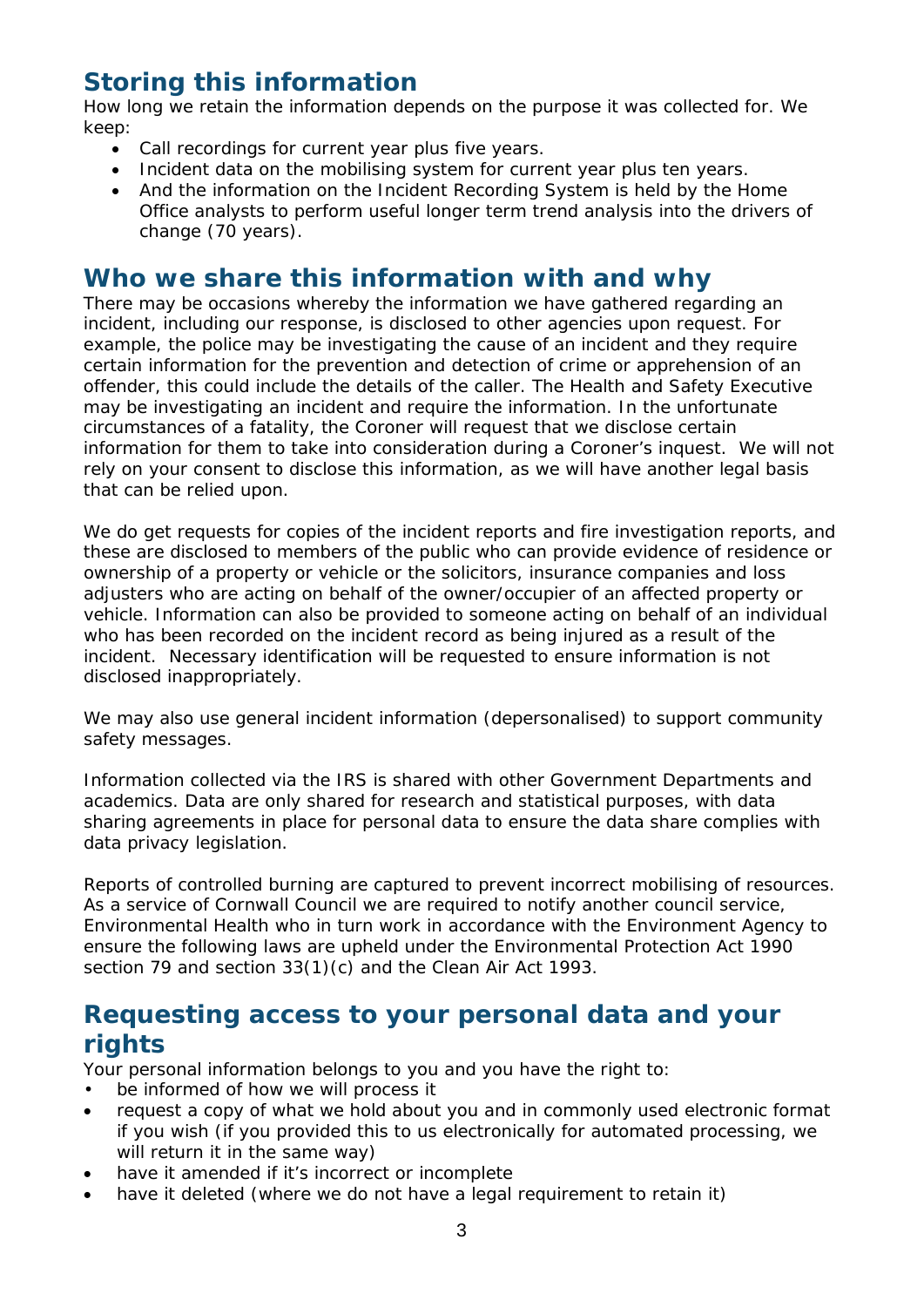# **Storing this information**

How long we retain the information depends on the purpose it was collected for. We keep:

- Call recordings for current year plus five years.
- Incident data on the mobilising system for current year plus ten years.
- And the information on the Incident Recording System is held by the Home Office analysts to perform useful longer term trend analysis into the drivers of change (70 years).

## **Who we share this information with and why**

There may be occasions whereby the information we have gathered regarding an incident, including our response, is disclosed to other agencies upon request. For example, the police may be investigating the cause of an incident and they require certain information for the prevention and detection of crime or apprehension of an offender, this could include the details of the caller. The Health and Safety Executive may be investigating an incident and require the information. In the unfortunate circumstances of a fatality, the Coroner will request that we disclose certain information for them to take into consideration during a Coroner's inquest. We will not rely on your consent to disclose this information, as we will have another legal basis that can be relied upon.

We do get requests for copies of the incident reports and fire investigation reports, and these are disclosed to members of the public who can provide evidence of residence or ownership of a property or vehicle or the solicitors, insurance companies and loss adjusters who are acting on behalf of the owner/occupier of an affected property or vehicle. Information can also be provided to someone acting on behalf of an individual who has been recorded on the incident record as being injured as a result of the incident. Necessary identification will be requested to ensure information is not disclosed inappropriately.

We may also use general incident information (depersonalised) to support community safety messages.

Information collected via the IRS is shared with other Government Departments and academics. Data are only shared for research and statistical purposes, with data sharing agreements in place for personal data to ensure the data share complies with data privacy legislation.

Reports of controlled burning are captured to prevent incorrect mobilising of resources. As a service of Cornwall Council we are required to notify another council service, Environmental Health who in turn work in accordance with the Environment Agency to ensure the following laws are upheld under the Environmental Protection Act 1990 section 79 and section 33(1)(c) and the Clean Air Act 1993.

# **Requesting access to your personal data and your rights**

Your personal information belongs to you and you have the right to:

- be informed of how we will process it
- request a copy of what we hold about you and in commonly used electronic format if you wish (if you provided this to us electronically for automated processing, we will return it in the same way)
- have it amended if it's incorrect or incomplete
- have it deleted (where we do not have a legal requirement to retain it)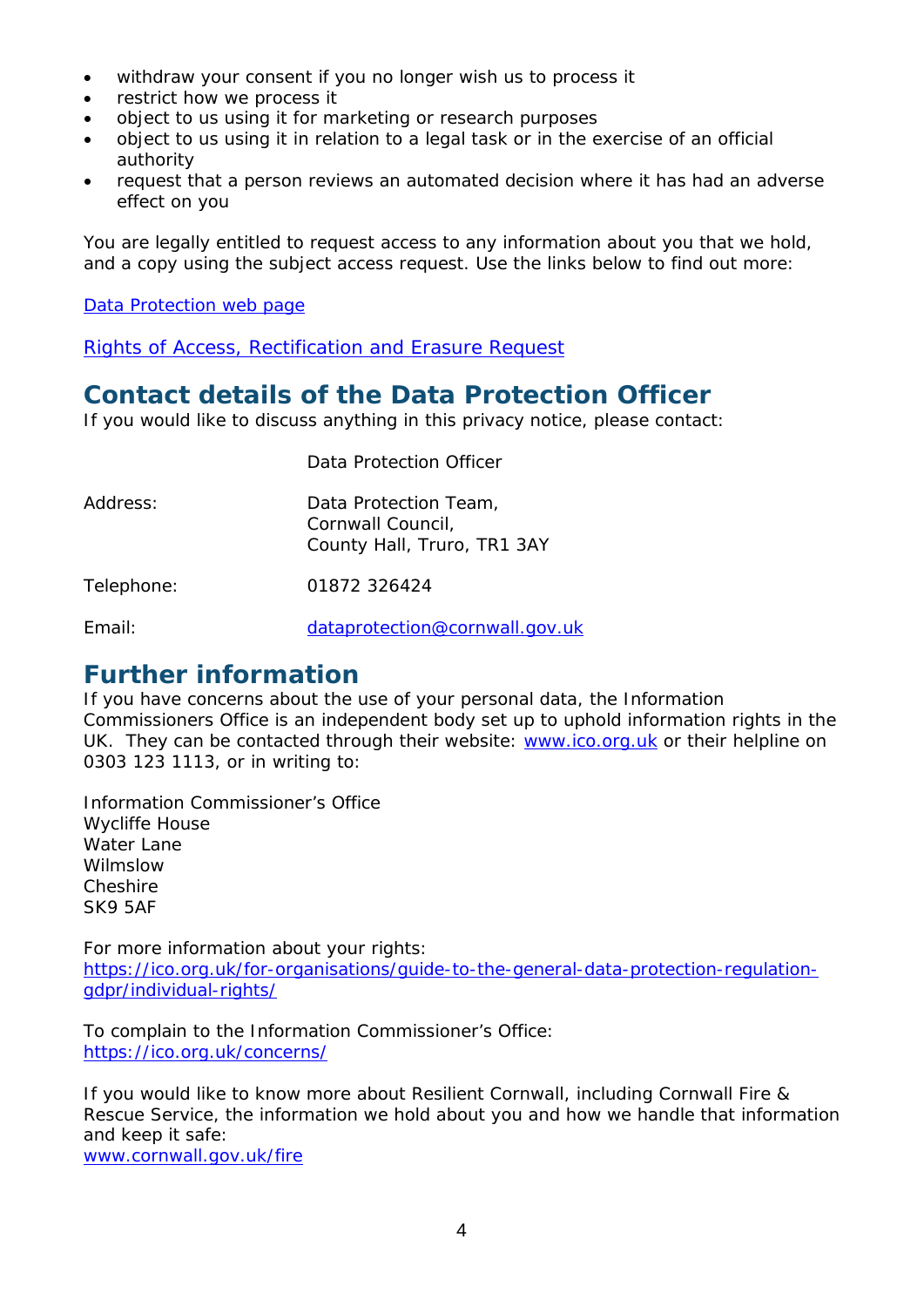- withdraw your consent if you no longer wish us to process it
- restrict how we process it
- object to us using it for marketing or research purposes
- object to us using it in relation to a legal task or in the exercise of an official authority
- request that a person reviews an automated decision where it has had an adverse effect on you

You are legally entitled to request access to any information about you that we hold, and a copy using the subject access request. Use the links below to find out more:

[Data Protection web page](http://www.cornwall.gov.uk/council-and-democracy/data-protection-and-freedom-of-information/data-protection)

[Rights of Access, Rectification and Erasure Request](https://www.cornwall.gov.uk/media/33315555/form-2018-rare-form-blank.pdf)

# **Contact details of the Data Protection Officer**

If you would like to discuss anything in this privacy notice, please contact:

|            | Data Protection Officer                                                   |
|------------|---------------------------------------------------------------------------|
| Address:   | Data Protection Team,<br>Cornwall Council,<br>County Hall, Truro, TR1 3AY |
| Telephone: | 01872 326424                                                              |
|            |                                                                           |

Email: [dataprotection@cornwall.gov.uk](mailto:dataprotection@cornwall.gov.uk)

#### **Further information**

If you have concerns about the use of your personal data, the Information Commissioners Office is an independent body set up to uphold information rights in the UK. They can be contacted through their website: [www.ico.org.uk](http://www.ico.org.uk/) or their helpline on 0303 123 1113, or in writing to:

Information Commissioner's Office Wycliffe House Water Lane Wilmslow Cheshire SK9 5AF

For more information about your rights: [https://ico.org.uk/for-organisations/guide-to-the-general-data-protection-regulation](https://ico.org.uk/for-organisations/guide-to-the-general-data-protection-regulation-gdpr/individual-rights/)[gdpr/individual-rights/](https://ico.org.uk/for-organisations/guide-to-the-general-data-protection-regulation-gdpr/individual-rights/)

To complain to the Information Commissioner's Office: <https://ico.org.uk/concerns/>

If you would like to know more about Resilient Cornwall, including Cornwall Fire & Rescue Service, the information we hold about you and how we handle that information and keep it safe:

[www.cornwall.gov.uk/fire](http://www.cornwall.gov.uk/fire)